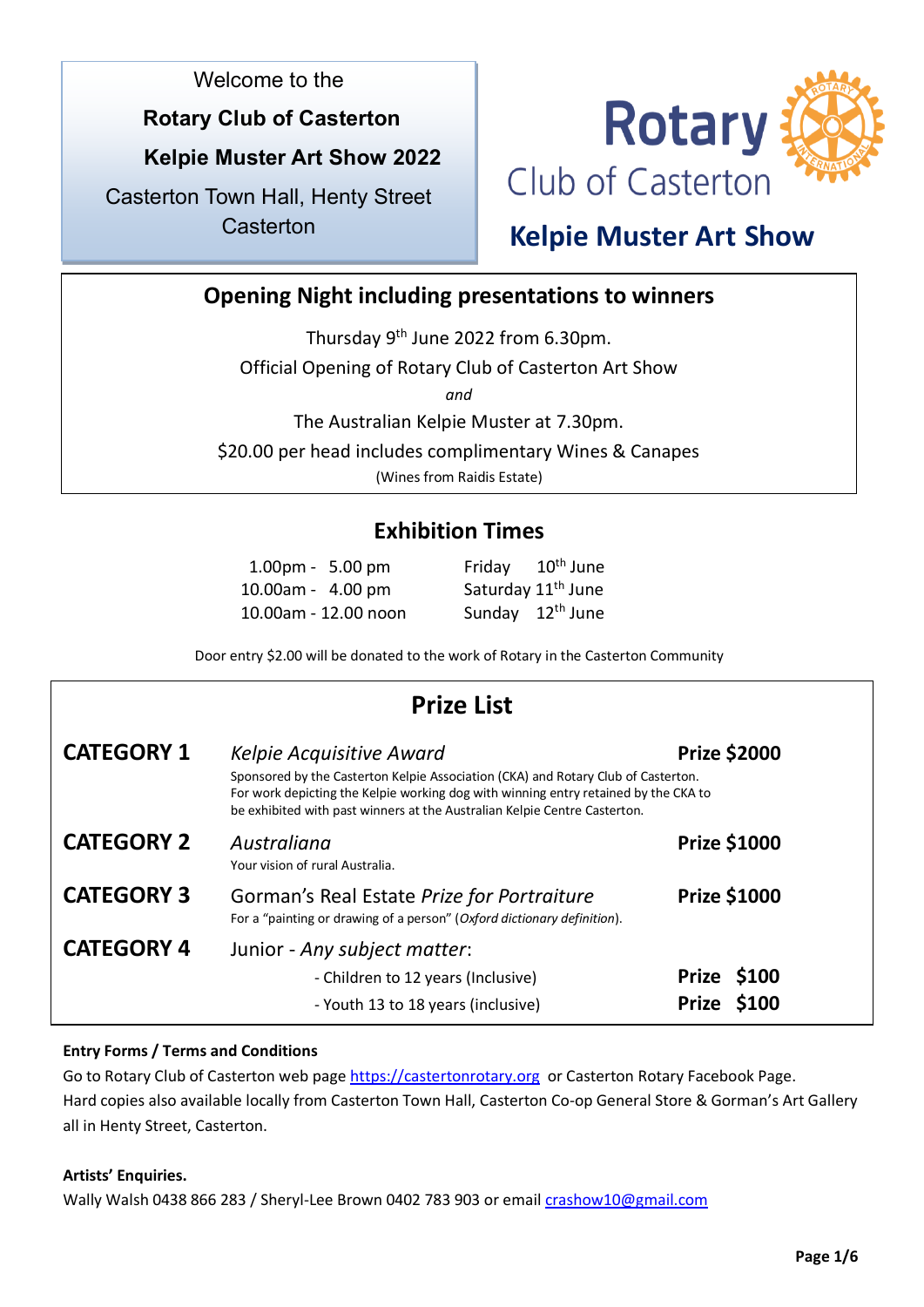Welcome to the

### **Rotary Club of Casterton**

### **Kelpie Muster Art Show 2022**

Casterton Town Hall, Henty Street **Casterton** 



## **Kelpie Muster Art Show**

### **Opening Night including presentations to winners**

Thursday 9<sup>th</sup> June 2022 from 6.30pm.

Official Opening of Rotary Club of Casterton Art Show

*and* 

The Australian Kelpie Muster at 7.30pm.

\$20.00 per head includes complimentary Wines & Canapes

(Wines from Raidis Estate)

### **Exhibition Times**

| $1.00 \text{pm} - 5.00 \text{pm}$ | Friday 10 <sup>th</sup> June   |
|-----------------------------------|--------------------------------|
| 10.00am - 4.00 pm                 | Saturday 11 <sup>th</sup> June |
| 10.00am - 12.00 noon              | Sunday 12 <sup>th</sup> June   |

Door entry \$2.00 will be donated to the work of Rotary in the Casterton Community

|                   | <b>Prize List</b>                                                                                                                                                                                                                                                                 |                            |
|-------------------|-----------------------------------------------------------------------------------------------------------------------------------------------------------------------------------------------------------------------------------------------------------------------------------|----------------------------|
| <b>CATEGORY 1</b> | Kelpie Acquisitive Award<br>Sponsored by the Casterton Kelpie Association (CKA) and Rotary Club of Casterton.<br>For work depicting the Kelpie working dog with winning entry retained by the CKA to<br>be exhibited with past winners at the Australian Kelpie Centre Casterton. | <b>Prize \$2000</b>        |
| <b>CATEGORY 2</b> | Australiana<br>Your vision of rural Australia.                                                                                                                                                                                                                                    | <b>Prize \$1000</b>        |
| <b>CATEGORY 3</b> | <b>Prize \$1000</b><br>Gorman's Real Estate Prize for Portraiture<br>For a "painting or drawing of a person" (Oxford dictionary definition).                                                                                                                                      |                            |
| <b>CATEGORY 4</b> | Junior - Any subject matter:<br>- Children to 12 years (Inclusive)<br>- Youth 13 to 18 years (inclusive)                                                                                                                                                                          | Prize \$100<br>Prize \$100 |

### **Entry Forms / Terms and Conditions**

Go to Rotary Club of Casterton web page [https://castertonrotary.org](https://castertonrotary.org/) or Casterton Rotary Facebook Page. Hard copies also available locally from Casterton Town Hall, Casterton Co-op General Store & Gorman's Art Gallery all in Henty Street, Casterton.

### **Artists' Enquiries.**

Wally Walsh 0438 866 283 / Sheryl-Lee Brown 0402 783 903 or email [crashow10@gmail.com](mailto:crashow10@gmail.com)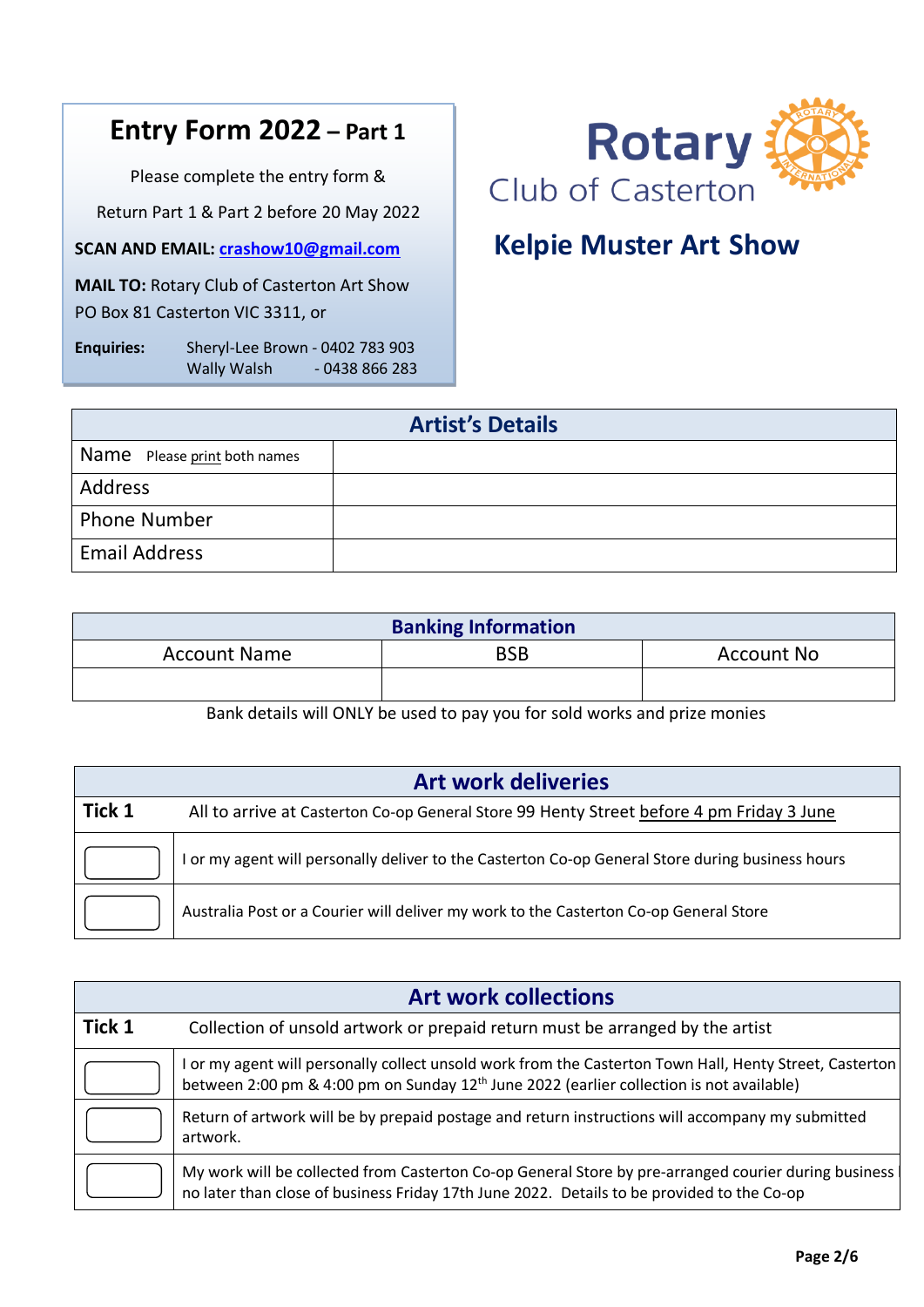## **Entry Form 2022 – Part 1**

Please complete the entry form &

Return Part 1 & Part 2 before 20 May 2022

**SCAN AND EMAIL: [crashow10@gmail.com](mailto:crashow10@gmail.com)**

**MAIL TO:** Rotary Club of Casterton Art Show PO Box 81 Casterton VIC 3311, or

**Enquiries:** Sheryl-Lee Brown - 0402 783 903 Wally Walsh - 0438 866 283



## **Kelpie Muster Art Show**

| <b>Artist's Details</b>      |  |  |
|------------------------------|--|--|
| Name Please print both names |  |  |
| Address                      |  |  |
| <b>Phone Number</b>          |  |  |
| <b>Email Address</b>         |  |  |

| <b>Banking Information</b> |     |                   |
|----------------------------|-----|-------------------|
| <b>Account Name</b>        | BSB | <b>Account No</b> |
|                            |     |                   |
| $\sim$<br>.<br>_____       |     |                   |

Bank details will ONLY be used to pay you for sold works and prize monies

| <b>Art work deliveries</b> |                                                                                                  |  |
|----------------------------|--------------------------------------------------------------------------------------------------|--|
| Tick 1                     | All to arrive at Casterton Co-op General Store 99 Henty Street before 4 pm Friday 3 June         |  |
|                            | I or my agent will personally deliver to the Casterton Co-op General Store during business hours |  |
|                            | Australia Post or a Courier will deliver my work to the Casterton Co-op General Store            |  |

| <b>Art work collections</b> |                                                                                                                                                                                                                 |  |
|-----------------------------|-----------------------------------------------------------------------------------------------------------------------------------------------------------------------------------------------------------------|--|
| Tick 1                      | Collection of unsold artwork or prepaid return must be arranged by the artist                                                                                                                                   |  |
|                             | I or my agent will personally collect unsold work from the Casterton Town Hall, Henty Street, Casterton<br>between 2:00 pm & 4:00 pm on Sunday 12 <sup>th</sup> June 2022 (earlier collection is not available) |  |
|                             | Return of artwork will be by prepaid postage and return instructions will accompany my submitted<br>artwork.                                                                                                    |  |
|                             | My work will be collected from Casterton Co-op General Store by pre-arranged courier during business<br>no later than close of business Friday 17th June 2022. Details to be provided to the Co-op              |  |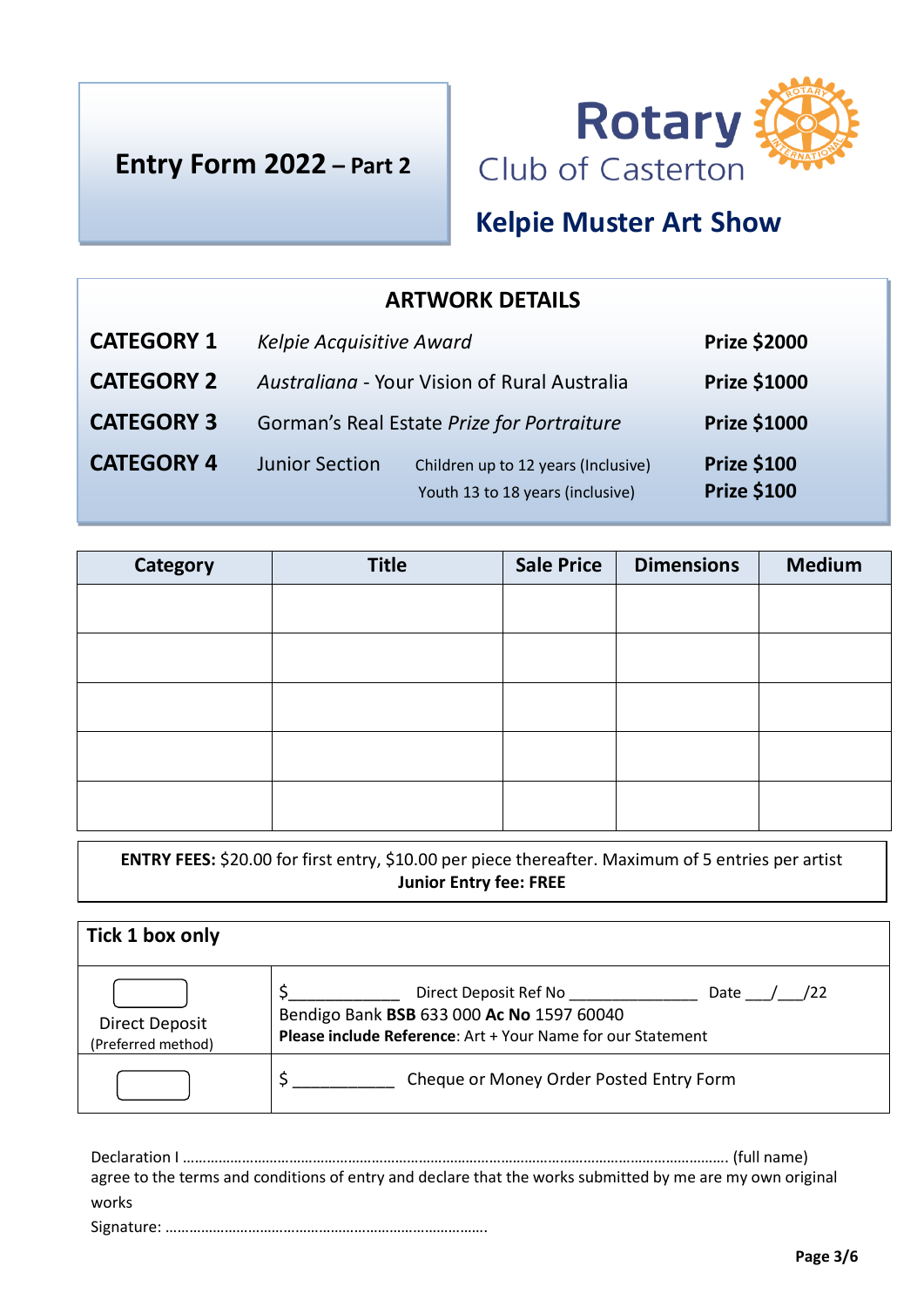



## **Kelpie Muster Art Show**

| <b>ARTWORK DETAILS</b> |                                            |                                                                         |                                          |
|------------------------|--------------------------------------------|-------------------------------------------------------------------------|------------------------------------------|
| <b>CATEGORY 1</b>      | Kelpie Acquisitive Award                   |                                                                         | <b>Prize \$2000</b>                      |
| <b>CATEGORY 2</b>      |                                            | Australiana - Your Vision of Rural Australia                            | <b>Prize \$1000</b>                      |
| <b>CATEGORY 3</b>      | Gorman's Real Estate Prize for Portraiture |                                                                         | <b>Prize \$1000</b>                      |
| <b>CATEGORY 4</b>      | <b>Junior Section</b>                      | Children up to 12 years (Inclusive)<br>Youth 13 to 18 years (inclusive) | <b>Prize \$100</b><br><b>Prize \$100</b> |

| Category | <b>Title</b> | <b>Sale Price</b> | <b>Dimensions</b> | <b>Medium</b> |
|----------|--------------|-------------------|-------------------|---------------|
|          |              |                   |                   |               |
|          |              |                   |                   |               |
|          |              |                   |                   |               |
|          |              |                   |                   |               |
|          |              |                   |                   |               |
|          |              |                   |                   |               |
|          |              |                   |                   |               |

**ENTRY FEES:** \$20.00 for first entry, \$10.00 per piece thereafter. Maximum of 5 entries per artist **Junior Entry fee: FREE**

| Tick 1 box only                             |                                                                                                                                                  |
|---------------------------------------------|--------------------------------------------------------------------------------------------------------------------------------------------------|
| <b>Direct Deposit</b><br>(Preferred method) | Direct Deposit Ref No<br>Date<br>/22<br>Bendigo Bank BSB 633 000 Ac No 1597 60040<br>Please include Reference: Art + Your Name for our Statement |
|                                             | Cheque or Money Order Posted Entry Form                                                                                                          |

Declaration I …………………………………………………………………………………………………………………………. (full name) agree to the terms and conditions of entry and declare that the works submitted by me are my own original works Signature: ……………………………………………………………………….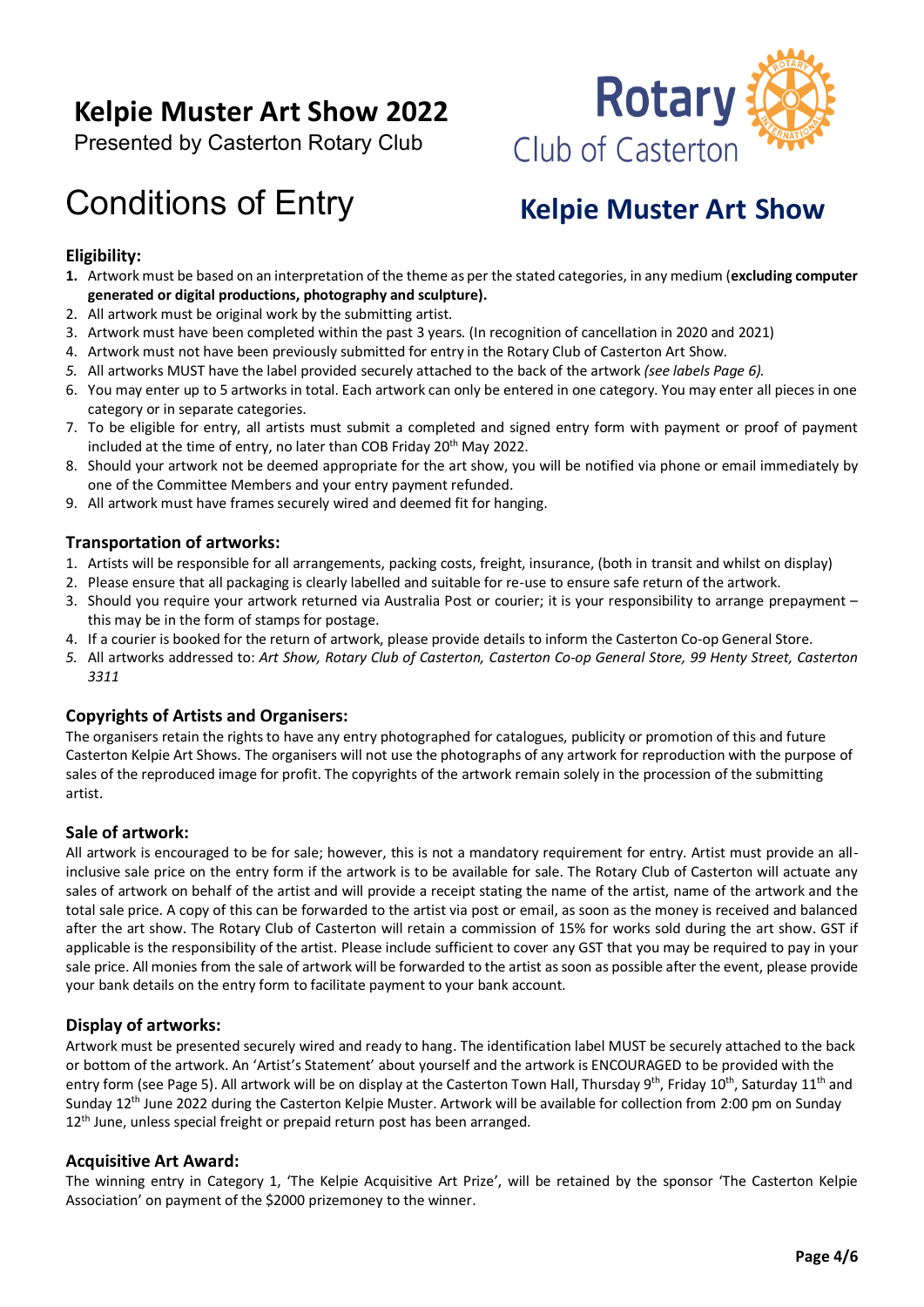## **Kelpie Muster Art Show 2022**

Presented by Casterton Rotary Club

## Conditions of Entry

# **Rotary** Club of Casterton

## **Kelpie Muster Art Show**

### **Eligibility:**

- **1.** Artwork must be based on an interpretation of the theme as per the stated categories, in any medium (**excluding computer generated or digital productions, photography and sculpture).**
- 2. All artwork must be original work by the submitting artist.
- 3. Artwork must have been completed within the past 3 years. (In recognition of cancellation in 2020 and 2021)
- 4. Artwork must not have been previously submitted for entry in the Rotary Club of Casterton Art Show.
- *5.* All artworks MUST have the label provided securely attached to the back of the artwork *(see labels Page 6).*
- 6. You may enter up to 5 artworks in total. Each artwork can only be entered in one category. You may enter all pieces in one category or in separate categories.
- 7. To be eligible for entry, all artists must submit a completed and signed entry form with payment or proof of payment included at the time of entry, no later than COB Friday 20<sup>th</sup> May 2022.
- 8. Should your artwork not be deemed appropriate for the art show, you will be notified via phone or email immediately by one of the Committee Members and your entry payment refunded.
- 9. All artwork must have frames securely wired and deemed fit for hanging.

### **Transportation of artworks:**

- 1. Artists will be responsible for all arrangements, packing costs, freight, insurance, (both in transit and whilst on display)
- 2. Please ensure that all packaging is clearly labelled and suitable for re-use to ensure safe return of the artwork.
- 3. Should you require your artwork returned via Australia Post or courier; it is your responsibility to arrange prepayment this may be in the form of stamps for postage.
- 4. If a courier is booked for the return of artwork, please provide details to inform the Casterton Co-op General Store.
- *5.* All artworks addressed to: *Art Show, Rotary Club of Casterton, Casterton Co-op General Store, 99 Henty Street, Casterton 3311*

### **Copyrights of Artists and Organisers:**

The organisers retain the rights to have any entry photographed for catalogues, publicity or promotion of this and future Casterton Kelpie Art Shows. The organisers will not use the photographs of any artwork for reproduction with the purpose of sales of the reproduced image for profit. The copyrights of the artwork remain solely in the procession of the submitting artist.

### **Sale of artwork:**

All artwork is encouraged to be for sale; however, this is not a mandatory requirement for entry. Artist must provide an allinclusive sale price on the entry form if the artwork is to be available for sale. The Rotary Club of Casterton will actuate any sales of artwork on behalf of the artist and will provide a receipt stating the name of the artist, name of the artwork and the total sale price. A copy of this can be forwarded to the artist via post or email, as soon as the money is received and balanced after the art show. The Rotary Club of Casterton will retain a commission of 15% for works sold during the art show. GST if applicable is the responsibility of the artist. Please include sufficient to cover any GST that you may be required to pay in your sale price. All monies from the sale of artwork will be forwarded to the artist as soon as possible after the event, please provide your bank details on the entry form to facilitate payment to your bank account.

### **Display of artworks:**

Artwork must be presented securely wired and ready to hang. The identification label MUST be securely attached to the back or bottom of the artwork. An 'Artist's Statement' about yourself and the artwork is ENCOURAGED to be provided with the entry form (see Page 5). All artwork will be on display at the Casterton Town Hall, Thursday 9<sup>th</sup>, Friday 10<sup>th</sup>, Saturday 11<sup>th</sup> and Sunday 12<sup>th</sup> June 2022 during the Casterton Kelpie Muster. Artwork will be available for collection from 2:00 pm on Sunday 12<sup>th</sup> June, unless special freight or prepaid return post has been arranged.

### **Acquisitive Art Award:**

The winning entry in Category 1, 'The Kelpie Acquisitive Art Prize', will be retained by the sponsor 'The Casterton Kelpie Association' on payment of the \$2000 prizemoney to the winner.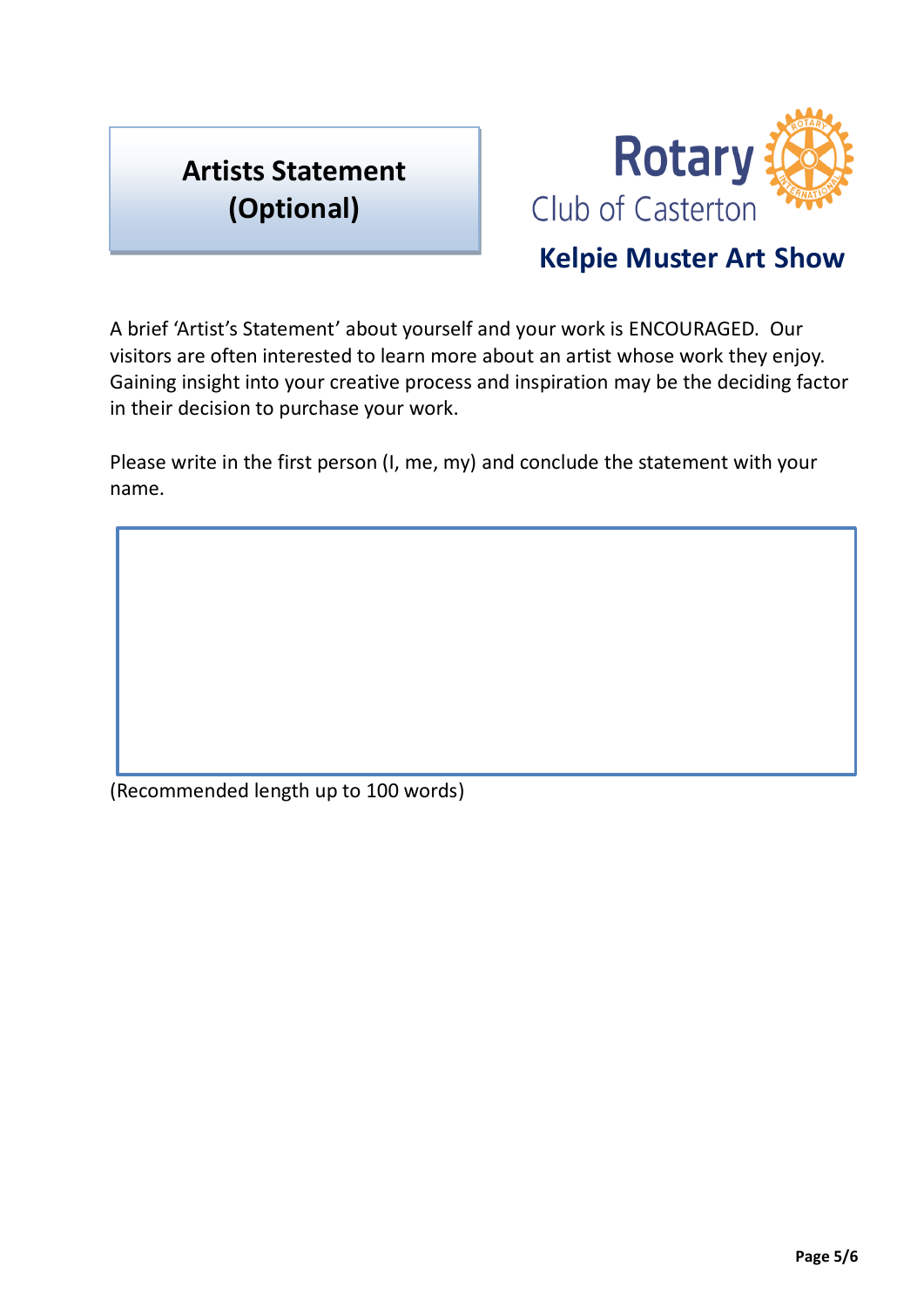## **Artists Statement (Optional)**



## **Kelpie Muster Art Show**

A brief 'Artist's Statement' about yourself and your work is ENCOURAGED. Our visitors are often interested to learn more about an artist whose work they enjoy. Gaining insight into your creative process and inspiration may be the deciding factor in their decision to purchase your work.

Please write in the first person (I, me, my) and conclude the statement with your name.

(Recommended length up to 100 words)